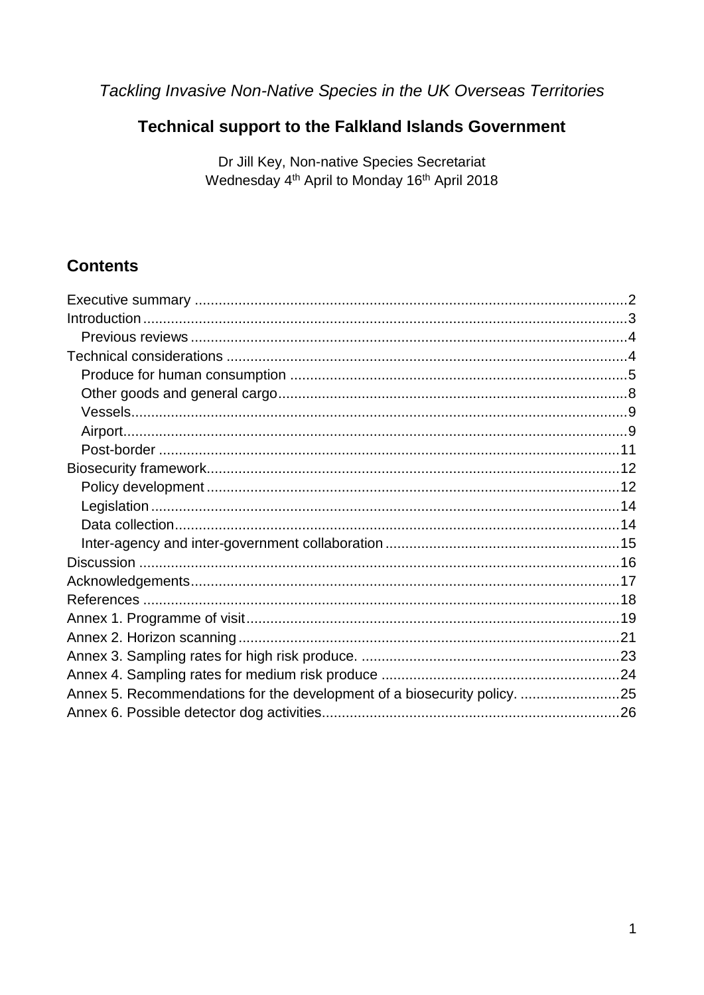Tackling Invasive Non-Native Species in the UK Overseas Territories

### Technical support to the Falkland Islands Government

Dr Jill Key, Non-native Species Secretariat Wednesday 4th April to Monday 16th April 2018

### **Contents**

| Annex 5. Recommendations for the development of a biosecurity policy. 25 |
|--------------------------------------------------------------------------|
|                                                                          |
|                                                                          |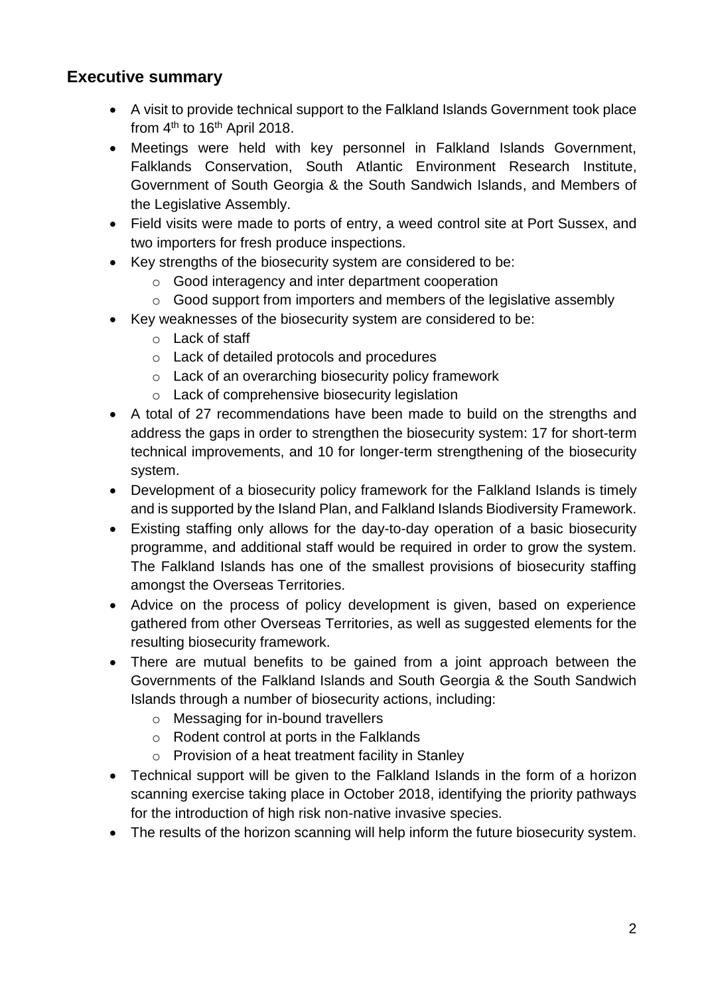### <span id="page-1-0"></span>**Executive summary**

- A visit to provide technical support to the Falkland Islands Government took place from 4<sup>th</sup> to 16<sup>th</sup> April 2018.
- Meetings were held with key personnel in Falkland Islands Government, Falklands Conservation, South Atlantic Environment Research Institute, Government of South Georgia & the South Sandwich Islands, and Members of the Legislative Assembly.
- Field visits were made to ports of entry, a weed control site at Port Sussex, and two importers for fresh produce inspections.
- Key strengths of the biosecurity system are considered to be:
	- o Good interagency and inter department cooperation
	- o Good support from importers and members of the legislative assembly
- Key weaknesses of the biosecurity system are considered to be:
	- o Lack of staff
	- o Lack of detailed protocols and procedures
	- o Lack of an overarching biosecurity policy framework
	- o Lack of comprehensive biosecurity legislation
- A total of 27 recommendations have been made to build on the strengths and address the gaps in order to strengthen the biosecurity system: 17 for short-term technical improvements, and 10 for longer-term strengthening of the biosecurity system.
- Development of a biosecurity policy framework for the Falkland Islands is timely and is supported by the Island Plan, and Falkland Islands Biodiversity Framework.
- Existing staffing only allows for the day-to-day operation of a basic biosecurity programme, and additional staff would be required in order to grow the system. The Falkland Islands has one of the smallest provisions of biosecurity staffing amongst the Overseas Territories.
- Advice on the process of policy development is given, based on experience gathered from other Overseas Territories, as well as suggested elements for the resulting biosecurity framework.
- There are mutual benefits to be gained from a joint approach between the Governments of the Falkland Islands and South Georgia & the South Sandwich Islands through a number of biosecurity actions, including:
	- o Messaging for in-bound travellers
	- o Rodent control at ports in the Falklands
	- o Provision of a heat treatment facility in Stanley
- Technical support will be given to the Falkland Islands in the form of a horizon scanning exercise taking place in October 2018, identifying the priority pathways for the introduction of high risk non-native invasive species.
- The results of the horizon scanning will help inform the future biosecurity system.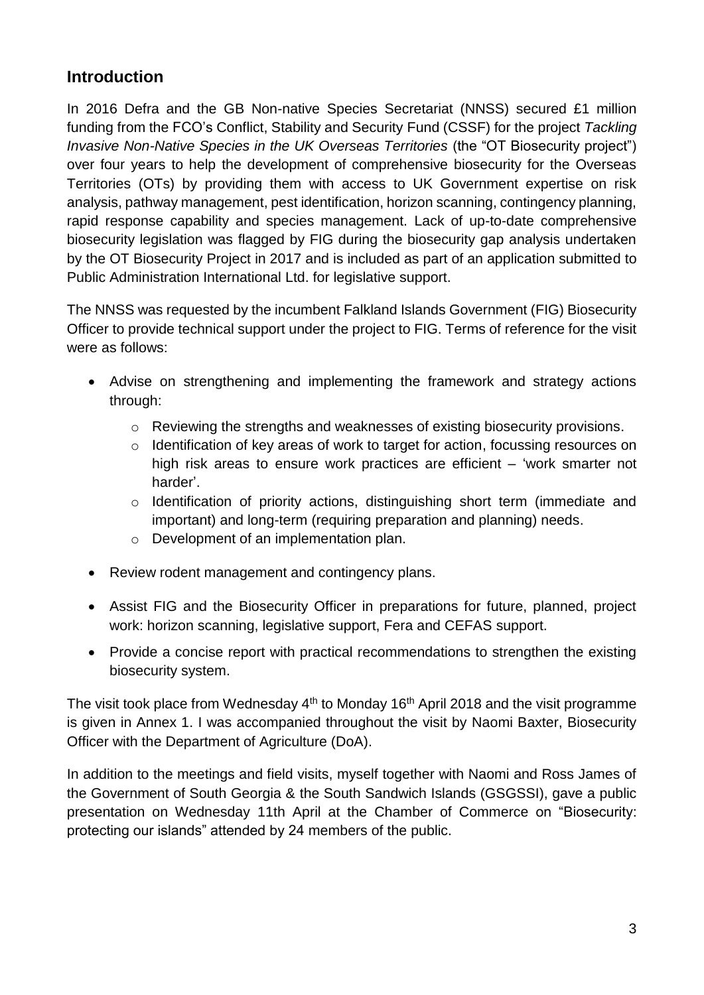### <span id="page-2-0"></span>**Introduction**

In 2016 Defra and the GB Non-native Species Secretariat (NNSS) secured £1 million funding from the FCO's Conflict, Stability and Security Fund (CSSF) for the project *Tackling Invasive Non-Native Species in the UK Overseas Territories* (the "OT Biosecurity project") over four years to help the development of comprehensive biosecurity for the Overseas Territories (OTs) by providing them with access to UK Government expertise on risk analysis, pathway management, pest identification, horizon scanning, contingency planning, rapid response capability and species management. Lack of up-to-date comprehensive biosecurity legislation was flagged by FIG during the biosecurity gap analysis undertaken by the OT Biosecurity Project in 2017 and is included as part of an application submitted to Public Administration International Ltd. for legislative support.

The NNSS was requested by the incumbent Falkland Islands Government (FIG) Biosecurity Officer to provide technical support under the project to FIG. Terms of reference for the visit were as follows:

- Advise on strengthening and implementing the framework and strategy actions through:
	- o Reviewing the strengths and weaknesses of existing biosecurity provisions.
	- o Identification of key areas of work to target for action, focussing resources on high risk areas to ensure work practices are efficient – 'work smarter not harder'.
	- o Identification of priority actions, distinguishing short term (immediate and important) and long-term (requiring preparation and planning) needs.
	- o Development of an implementation plan.
- Review rodent management and contingency plans.
- Assist FIG and the Biosecurity Officer in preparations for future, planned, project work: horizon scanning, legislative support, Fera and CEFAS support.
- Provide a concise report with practical recommendations to strengthen the existing biosecurity system.

The visit took place from Wednesday 4<sup>th</sup> to Monday 16<sup>th</sup> April 2018 and the visit programme is given in Annex 1. I was accompanied throughout the visit by Naomi Baxter, Biosecurity Officer with the Department of Agriculture (DoA).

In addition to the meetings and field visits, myself together with Naomi and Ross James of the Government of South Georgia & the South Sandwich Islands (GSGSSI), gave a public presentation on Wednesday 11th April at the Chamber of Commerce on "Biosecurity: protecting our islands" attended by 24 members of the public.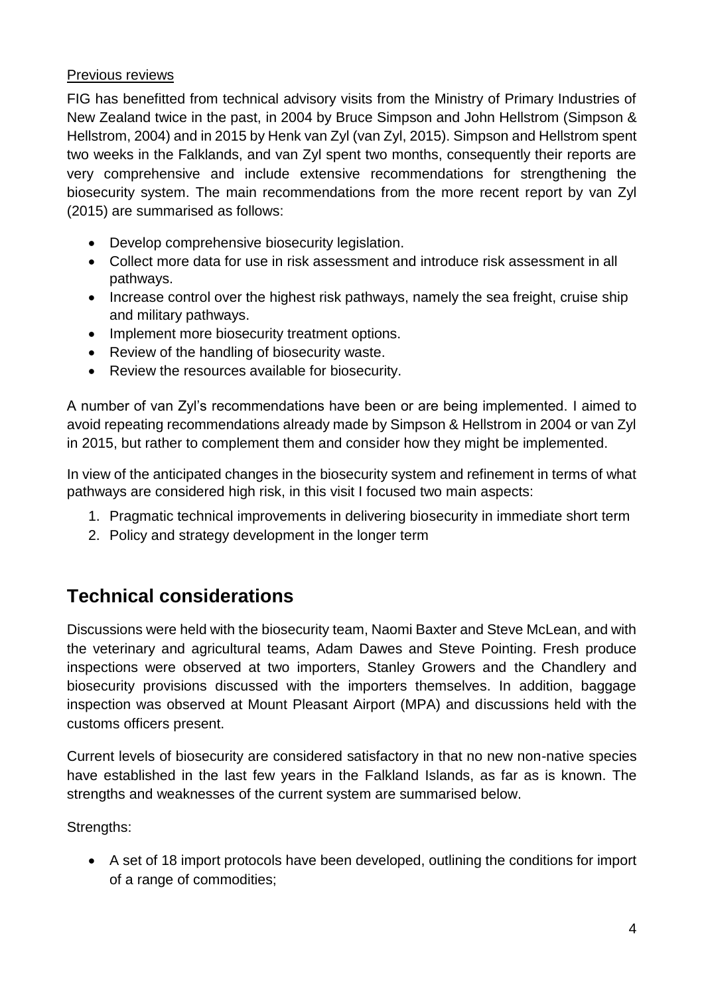#### <span id="page-3-0"></span>Previous reviews

FIG has benefitted from technical advisory visits from the Ministry of Primary Industries of New Zealand twice in the past, in 2004 by Bruce Simpson and John Hellstrom (Simpson & Hellstrom, 2004) and in 2015 by Henk van Zyl (van Zyl, 2015). Simpson and Hellstrom spent two weeks in the Falklands, and van Zyl spent two months, consequently their reports are very comprehensive and include extensive recommendations for strengthening the biosecurity system. The main recommendations from the more recent report by van Zyl (2015) are summarised as follows:

- Develop comprehensive biosecurity legislation.
- Collect more data for use in risk assessment and introduce risk assessment in all pathways.
- Increase control over the highest risk pathways, namely the sea freight, cruise ship and military pathways.
- Implement more biosecurity treatment options.
- Review of the handling of biosecurity waste.
- Review the resources available for biosecurity.

A number of van Zyl's recommendations have been or are being implemented. I aimed to avoid repeating recommendations already made by Simpson & Hellstrom in 2004 or van Zyl in 2015, but rather to complement them and consider how they might be implemented.

In view of the anticipated changes in the biosecurity system and refinement in terms of what pathways are considered high risk, in this visit I focused two main aspects:

- 1. Pragmatic technical improvements in delivering biosecurity in immediate short term
- 2. Policy and strategy development in the longer term

## <span id="page-3-1"></span>**Technical considerations**

Discussions were held with the biosecurity team, Naomi Baxter and Steve McLean, and with the veterinary and agricultural teams, Adam Dawes and Steve Pointing. Fresh produce inspections were observed at two importers, Stanley Growers and the Chandlery and biosecurity provisions discussed with the importers themselves. In addition, baggage inspection was observed at Mount Pleasant Airport (MPA) and discussions held with the customs officers present.

Current levels of biosecurity are considered satisfactory in that no new non-native species have established in the last few years in the Falkland Islands, as far as is known. The strengths and weaknesses of the current system are summarised below.

Strengths:

 A set of 18 import protocols have been developed, outlining the conditions for import of a range of commodities;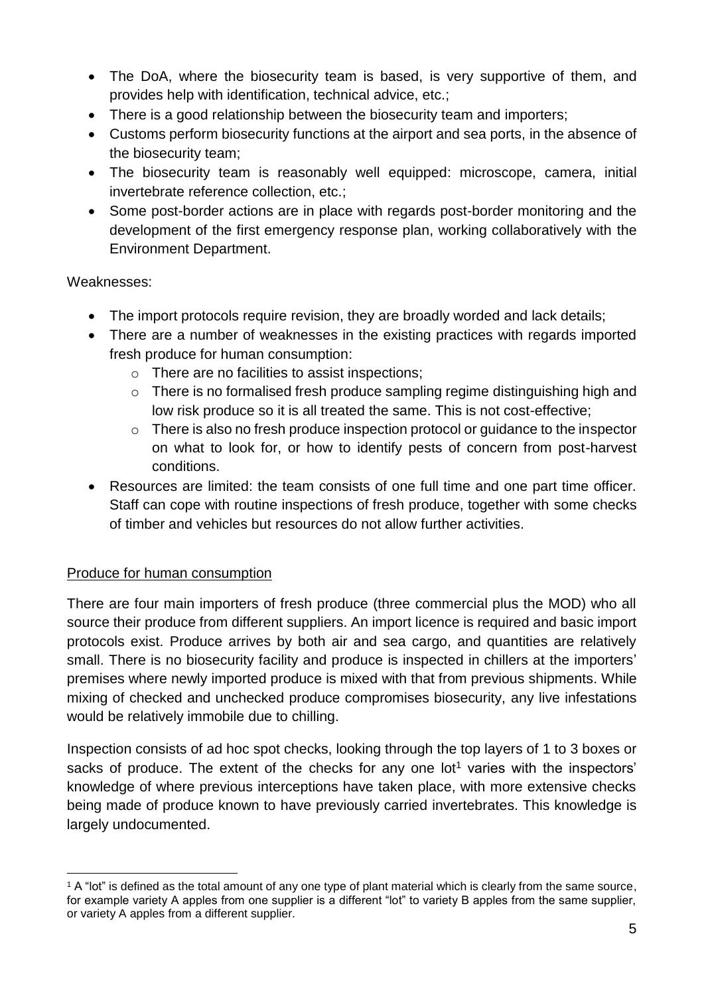- The DoA, where the biosecurity team is based, is very supportive of them, and provides help with identification, technical advice, etc.;
- There is a good relationship between the biosecurity team and importers;
- Customs perform biosecurity functions at the airport and sea ports, in the absence of the biosecurity team;
- The biosecurity team is reasonably well equipped: microscope, camera, initial invertebrate reference collection, etc.;
- Some post-border actions are in place with regards post-border monitoring and the development of the first emergency response plan, working collaboratively with the Environment Department.

### Weaknesses:

- The import protocols require revision, they are broadly worded and lack details;
- There are a number of weaknesses in the existing practices with regards imported fresh produce for human consumption:
	- o There are no facilities to assist inspections;
	- o There is no formalised fresh produce sampling regime distinguishing high and low risk produce so it is all treated the same. This is not cost-effective;
	- o There is also no fresh produce inspection protocol or guidance to the inspector on what to look for, or how to identify pests of concern from post-harvest conditions.
- Resources are limited: the team consists of one full time and one part time officer. Staff can cope with routine inspections of fresh produce, together with some checks of timber and vehicles but resources do not allow further activities.

### <span id="page-4-0"></span>Produce for human consumption

There are four main importers of fresh produce (three commercial plus the MOD) who all source their produce from different suppliers. An import licence is required and basic import protocols exist. Produce arrives by both air and sea cargo, and quantities are relatively small. There is no biosecurity facility and produce is inspected in chillers at the importers' premises where newly imported produce is mixed with that from previous shipments. While mixing of checked and unchecked produce compromises biosecurity, any live infestations would be relatively immobile due to chilling.

Inspection consists of ad hoc spot checks, looking through the top layers of 1 to 3 boxes or sacks of produce. The extent of the checks for any one lot<sup>1</sup> varies with the inspectors' knowledge of where previous interceptions have taken place, with more extensive checks being made of produce known to have previously carried invertebrates. This knowledge is largely undocumented.

<sup>1</sup> <sup>1</sup> A "lot" is defined as the total amount of any one type of plant material which is clearly from the same source, for example variety A apples from one supplier is a different "lot" to variety B apples from the same supplier, or variety A apples from a different supplier.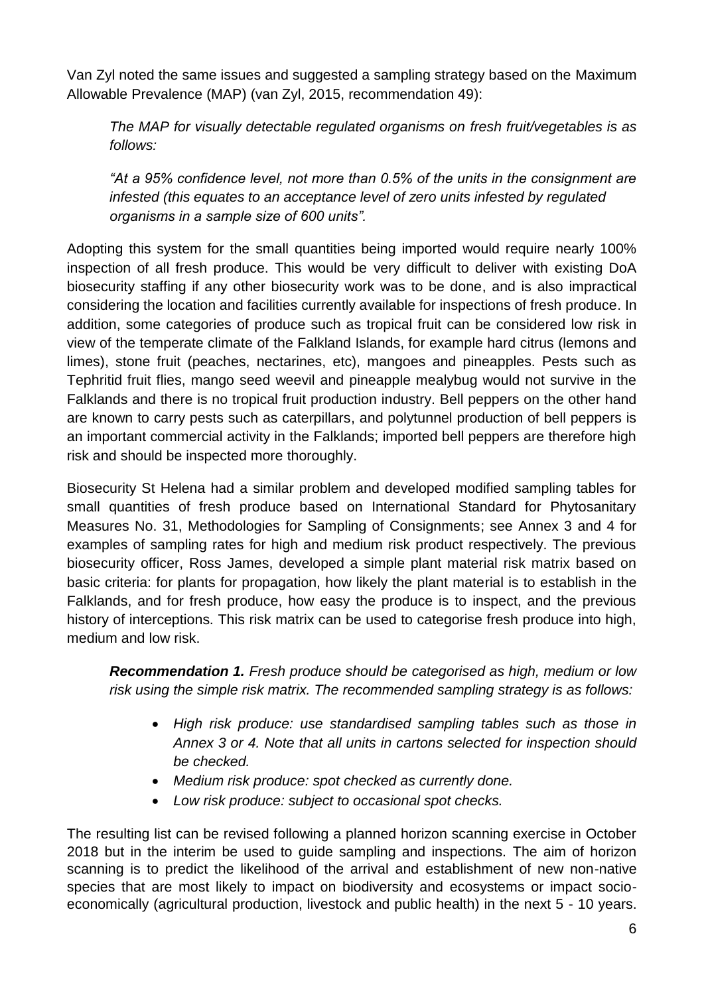Van Zyl noted the same issues and suggested a sampling strategy based on the Maximum Allowable Prevalence (MAP) (van Zyl, 2015, recommendation 49):

*The MAP for visually detectable regulated organisms on fresh fruit/vegetables is as follows:*

*"At a 95% confidence level, not more than 0.5% of the units in the consignment are infested (this equates to an acceptance level of zero units infested by regulated organisms in a sample size of 600 units".*

Adopting this system for the small quantities being imported would require nearly 100% inspection of all fresh produce. This would be very difficult to deliver with existing DoA biosecurity staffing if any other biosecurity work was to be done, and is also impractical considering the location and facilities currently available for inspections of fresh produce. In addition, some categories of produce such as tropical fruit can be considered low risk in view of the temperate climate of the Falkland Islands, for example hard citrus (lemons and limes), stone fruit (peaches, nectarines, etc), mangoes and pineapples. Pests such as Tephritid fruit flies, mango seed weevil and pineapple mealybug would not survive in the Falklands and there is no tropical fruit production industry. Bell peppers on the other hand are known to carry pests such as caterpillars, and polytunnel production of bell peppers is an important commercial activity in the Falklands; imported bell peppers are therefore high risk and should be inspected more thoroughly.

Biosecurity St Helena had a similar problem and developed modified sampling tables for small quantities of fresh produce based on International Standard for Phytosanitary Measures No. 31, Methodologies for Sampling of Consignments; see Annex 3 and 4 for examples of sampling rates for high and medium risk product respectively. The previous biosecurity officer, Ross James, developed a simple plant material risk matrix based on basic criteria: for plants for propagation, how likely the plant material is to establish in the Falklands, and for fresh produce, how easy the produce is to inspect, and the previous history of interceptions. This risk matrix can be used to categorise fresh produce into high, medium and low risk.

*Recommendation 1. Fresh produce should be categorised as high, medium or low risk using the simple risk matrix. The recommended sampling strategy is as follows:*

- *High risk produce: use standardised sampling tables such as those in Annex 3 or 4. Note that all units in cartons selected for inspection should be checked.*
- *Medium risk produce: spot checked as currently done.*
- *Low risk produce: subject to occasional spot checks.*

The resulting list can be revised following a planned horizon scanning exercise in October 2018 but in the interim be used to guide sampling and inspections. The aim of horizon scanning is to predict the likelihood of the arrival and establishment of new non-native species that are most likely to impact on biodiversity and ecosystems or impact socioeconomically (agricultural production, livestock and public health) in the next 5 - 10 years.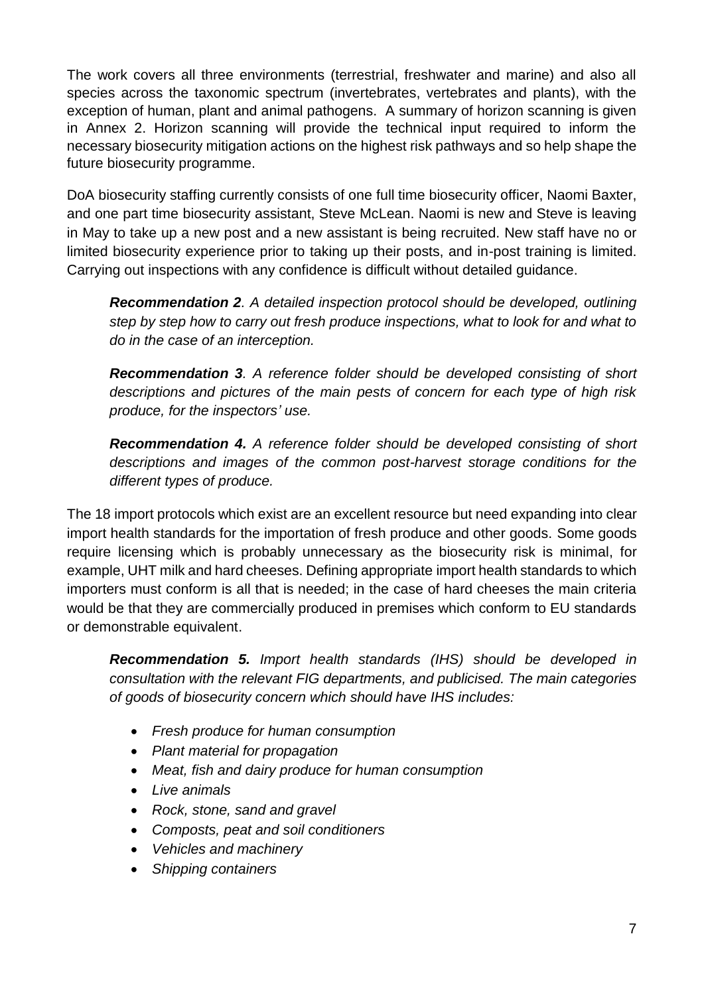The work covers all three environments (terrestrial, freshwater and marine) and also all species across the taxonomic spectrum (invertebrates, vertebrates and plants), with the exception of human, plant and animal pathogens. A summary of horizon scanning is given in Annex 2. Horizon scanning will provide the technical input required to inform the necessary biosecurity mitigation actions on the highest risk pathways and so help shape the future biosecurity programme.

DoA biosecurity staffing currently consists of one full time biosecurity officer, Naomi Baxter, and one part time biosecurity assistant, Steve McLean. Naomi is new and Steve is leaving in May to take up a new post and a new assistant is being recruited. New staff have no or limited biosecurity experience prior to taking up their posts, and in-post training is limited. Carrying out inspections with any confidence is difficult without detailed guidance.

*Recommendation 2. A detailed inspection protocol should be developed, outlining step by step how to carry out fresh produce inspections, what to look for and what to do in the case of an interception.* 

*Recommendation 3. A reference folder should be developed consisting of short descriptions and pictures of the main pests of concern for each type of high risk produce, for the inspectors' use.* 

*Recommendation 4. A reference folder should be developed consisting of short descriptions and images of the common post-harvest storage conditions for the different types of produce.* 

The 18 import protocols which exist are an excellent resource but need expanding into clear import health standards for the importation of fresh produce and other goods. Some goods require licensing which is probably unnecessary as the biosecurity risk is minimal, for example, UHT milk and hard cheeses. Defining appropriate import health standards to which importers must conform is all that is needed; in the case of hard cheeses the main criteria would be that they are commercially produced in premises which conform to EU standards or demonstrable equivalent.

*Recommendation 5. Import health standards (IHS) should be developed in consultation with the relevant FIG departments, and publicised. The main categories of goods of biosecurity concern which should have IHS includes:*

- *Fresh produce for human consumption*
- *Plant material for propagation*
- *Meat, fish and dairy produce for human consumption*
- *Live animals*
- *Rock, stone, sand and gravel*
- *Composts, peat and soil conditioners*
- *Vehicles and machinery*
- *Shipping containers*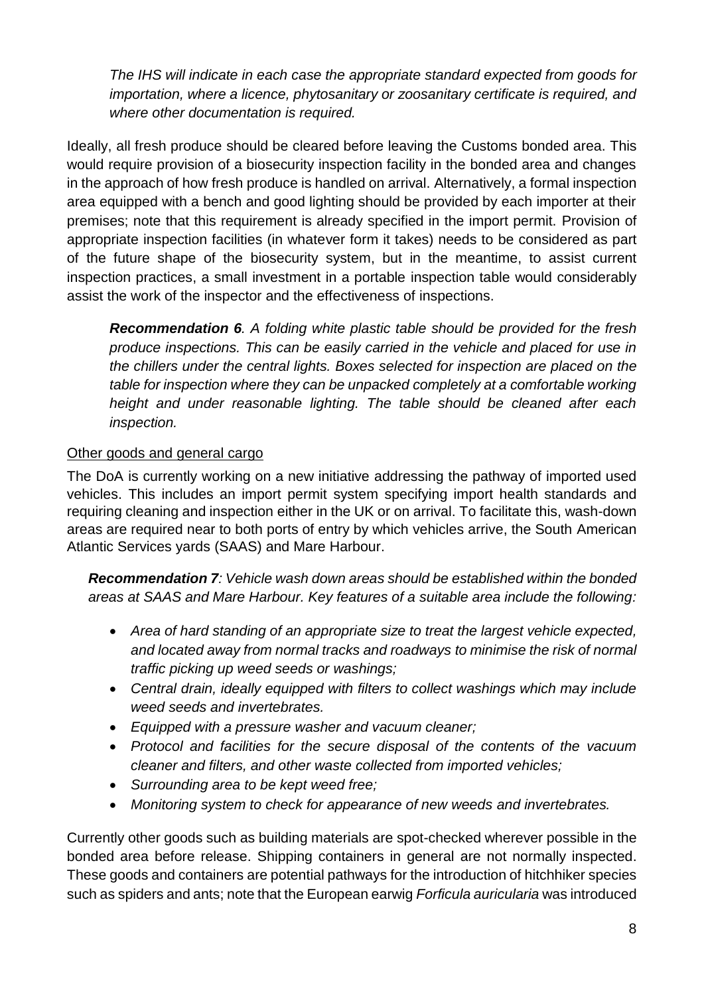*The IHS will indicate in each case the appropriate standard expected from goods for importation, where a licence, phytosanitary or zoosanitary certificate is required, and where other documentation is required.*

Ideally, all fresh produce should be cleared before leaving the Customs bonded area. This would require provision of a biosecurity inspection facility in the bonded area and changes in the approach of how fresh produce is handled on arrival. Alternatively, a formal inspection area equipped with a bench and good lighting should be provided by each importer at their premises; note that this requirement is already specified in the import permit. Provision of appropriate inspection facilities (in whatever form it takes) needs to be considered as part of the future shape of the biosecurity system, but in the meantime, to assist current inspection practices, a small investment in a portable inspection table would considerably assist the work of the inspector and the effectiveness of inspections.

*Recommendation 6. A folding white plastic table should be provided for the fresh produce inspections. This can be easily carried in the vehicle and placed for use in the chillers under the central lights. Boxes selected for inspection are placed on the table for inspection where they can be unpacked completely at a comfortable working height and under reasonable lighting. The table should be cleaned after each inspection.*

#### <span id="page-7-0"></span>Other goods and general cargo

The DoA is currently working on a new initiative addressing the pathway of imported used vehicles. This includes an import permit system specifying import health standards and requiring cleaning and inspection either in the UK or on arrival. To facilitate this, wash-down areas are required near to both ports of entry by which vehicles arrive, the South American Atlantic Services yards (SAAS) and Mare Harbour.

*Recommendation 7: Vehicle wash down areas should be established within the bonded areas at SAAS and Mare Harbour. Key features of a suitable area include the following:*

- *Area of hard standing of an appropriate size to treat the largest vehicle expected, and located away from normal tracks and roadways to minimise the risk of normal traffic picking up weed seeds or washings;*
- *Central drain, ideally equipped with filters to collect washings which may include weed seeds and invertebrates.*
- *Equipped with a pressure washer and vacuum cleaner;*
- *Protocol and facilities for the secure disposal of the contents of the vacuum cleaner and filters, and other waste collected from imported vehicles;*
- *Surrounding area to be kept weed free;*
- *Monitoring system to check for appearance of new weeds and invertebrates.*

Currently other goods such as building materials are spot-checked wherever possible in the bonded area before release. Shipping containers in general are not normally inspected. These goods and containers are potential pathways for the introduction of hitchhiker species such as spiders and ants; note that the European earwig *Forficula auricularia* was introduced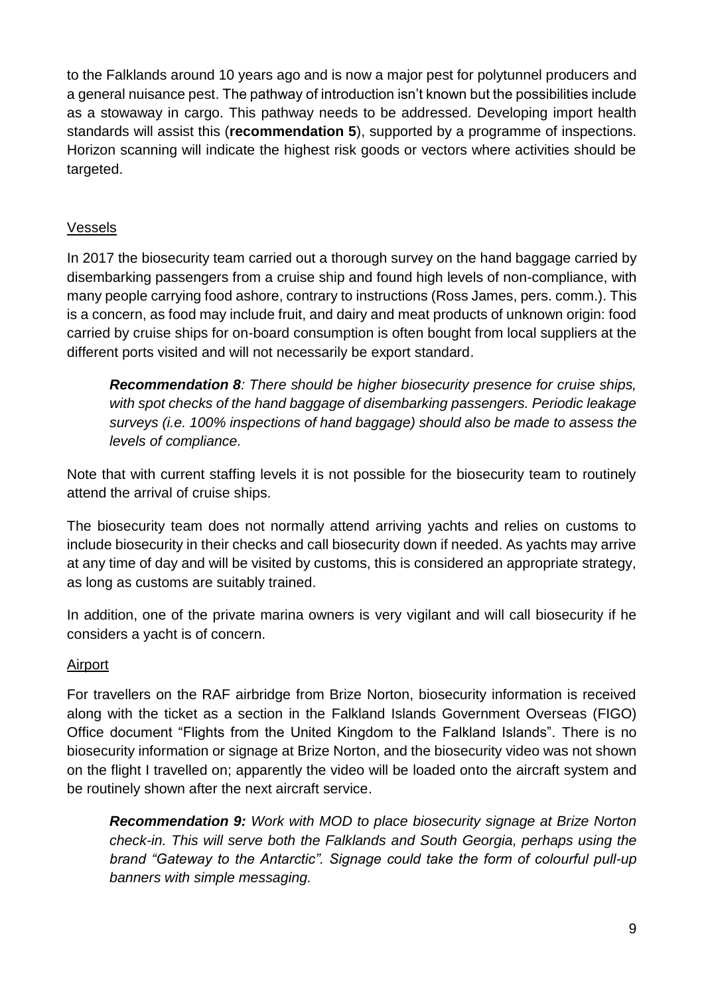to the Falklands around 10 years ago and is now a major pest for polytunnel producers and a general nuisance pest. The pathway of introduction isn't known but the possibilities include as a stowaway in cargo. This pathway needs to be addressed. Developing import health standards will assist this (**recommendation 5**), supported by a programme of inspections. Horizon scanning will indicate the highest risk goods or vectors where activities should be targeted.

### <span id="page-8-0"></span>Vessels

In 2017 the biosecurity team carried out a thorough survey on the hand baggage carried by disembarking passengers from a cruise ship and found high levels of non-compliance, with many people carrying food ashore, contrary to instructions (Ross James, pers. comm.). This is a concern, as food may include fruit, and dairy and meat products of unknown origin: food carried by cruise ships for on-board consumption is often bought from local suppliers at the different ports visited and will not necessarily be export standard.

*Recommendation 8: There should be higher biosecurity presence for cruise ships, with spot checks of the hand baggage of disembarking passengers. Periodic leakage surveys (i.e. 100% inspections of hand baggage) should also be made to assess the levels of compliance.*

Note that with current staffing levels it is not possible for the biosecurity team to routinely attend the arrival of cruise ships.

The biosecurity team does not normally attend arriving yachts and relies on customs to include biosecurity in their checks and call biosecurity down if needed. As yachts may arrive at any time of day and will be visited by customs, this is considered an appropriate strategy, as long as customs are suitably trained.

In addition, one of the private marina owners is very vigilant and will call biosecurity if he considers a yacht is of concern.

#### <span id="page-8-1"></span>Airport

For travellers on the RAF airbridge from Brize Norton, biosecurity information is received along with the ticket as a section in the Falkland Islands Government Overseas (FIGO) Office document "Flights from the United Kingdom to the Falkland Islands". There is no biosecurity information or signage at Brize Norton, and the biosecurity video was not shown on the flight I travelled on; apparently the video will be loaded onto the aircraft system and be routinely shown after the next aircraft service.

*Recommendation 9: Work with MOD to place biosecurity signage at Brize Norton check-in. This will serve both the Falklands and South Georgia, perhaps using the brand "Gateway to the Antarctic". Signage could take the form of colourful pull-up banners with simple messaging.*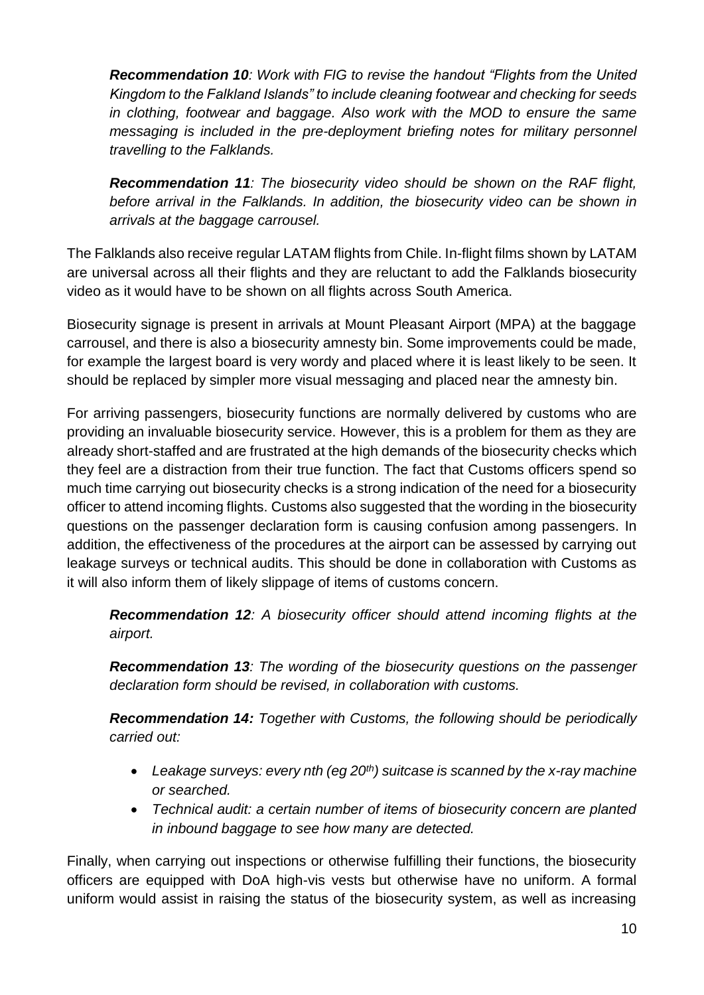*Recommendation 10: Work with FIG to revise the handout "Flights from the United Kingdom to the Falkland Islands" to include cleaning footwear and checking for seeds in clothing, footwear and baggage. Also work with the MOD to ensure the same messaging is included in the pre-deployment briefing notes for military personnel travelling to the Falklands.*

*Recommendation 11: The biosecurity video should be shown on the RAF flight, before arrival in the Falklands. In addition, the biosecurity video can be shown in arrivals at the baggage carrousel.*

The Falklands also receive regular LATAM flights from Chile. In-flight films shown by LATAM are universal across all their flights and they are reluctant to add the Falklands biosecurity video as it would have to be shown on all flights across South America.

Biosecurity signage is present in arrivals at Mount Pleasant Airport (MPA) at the baggage carrousel, and there is also a biosecurity amnesty bin. Some improvements could be made, for example the largest board is very wordy and placed where it is least likely to be seen. It should be replaced by simpler more visual messaging and placed near the amnesty bin.

For arriving passengers, biosecurity functions are normally delivered by customs who are providing an invaluable biosecurity service. However, this is a problem for them as they are already short-staffed and are frustrated at the high demands of the biosecurity checks which they feel are a distraction from their true function. The fact that Customs officers spend so much time carrying out biosecurity checks is a strong indication of the need for a biosecurity officer to attend incoming flights. Customs also suggested that the wording in the biosecurity questions on the passenger declaration form is causing confusion among passengers. In addition, the effectiveness of the procedures at the airport can be assessed by carrying out leakage surveys or technical audits. This should be done in collaboration with Customs as it will also inform them of likely slippage of items of customs concern.

*Recommendation 12: A biosecurity officer should attend incoming flights at the airport.*

*Recommendation 13: The wording of the biosecurity questions on the passenger declaration form should be revised, in collaboration with customs.*

*Recommendation 14: Together with Customs, the following should be periodically carried out:*

- *Leakage surveys: every nth (eg 20th) suitcase is scanned by the x-ray machine or searched.*
- *Technical audit: a certain number of items of biosecurity concern are planted in inbound baggage to see how many are detected.*

Finally, when carrying out inspections or otherwise fulfilling their functions, the biosecurity officers are equipped with DoA high-vis vests but otherwise have no uniform. A formal uniform would assist in raising the status of the biosecurity system, as well as increasing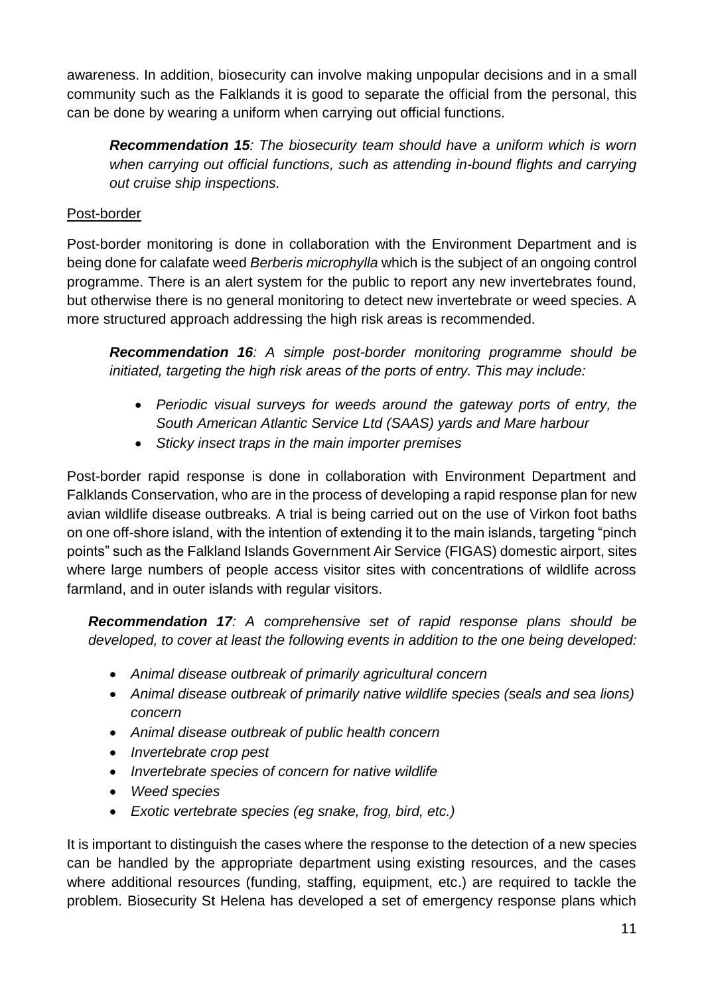awareness. In addition, biosecurity can involve making unpopular decisions and in a small community such as the Falklands it is good to separate the official from the personal, this can be done by wearing a uniform when carrying out official functions.

*Recommendation 15: The biosecurity team should have a uniform which is worn when carrying out official functions, such as attending in-bound flights and carrying out cruise ship inspections.* 

### <span id="page-10-0"></span>Post-border

Post-border monitoring is done in collaboration with the Environment Department and is being done for calafate weed *Berberis microphylla* which is the subject of an ongoing control programme. There is an alert system for the public to report any new invertebrates found, but otherwise there is no general monitoring to detect new invertebrate or weed species. A more structured approach addressing the high risk areas is recommended.

*Recommendation 16: A simple post-border monitoring programme should be initiated, targeting the high risk areas of the ports of entry. This may include:*

- *Periodic visual surveys for weeds around the gateway ports of entry, the South American Atlantic Service Ltd (SAAS) yards and Mare harbour*
- *Sticky insect traps in the main importer premises*

Post-border rapid response is done in collaboration with Environment Department and Falklands Conservation, who are in the process of developing a rapid response plan for new avian wildlife disease outbreaks. A trial is being carried out on the use of Virkon foot baths on one off-shore island, with the intention of extending it to the main islands, targeting "pinch points" such as the Falkland Islands Government Air Service (FIGAS) domestic airport, sites where large numbers of people access visitor sites with concentrations of wildlife across farmland, and in outer islands with regular visitors.

*Recommendation 17: A comprehensive set of rapid response plans should be developed, to cover at least the following events in addition to the one being developed:*

- *Animal disease outbreak of primarily agricultural concern*
- *Animal disease outbreak of primarily native wildlife species (seals and sea lions) concern*
- *Animal disease outbreak of public health concern*
- *Invertebrate crop pest*
- *Invertebrate species of concern for native wildlife*
- *Weed species*
- *Exotic vertebrate species (eg snake, frog, bird, etc.)*

It is important to distinguish the cases where the response to the detection of a new species can be handled by the appropriate department using existing resources, and the cases where additional resources (funding, staffing, equipment, etc.) are required to tackle the problem. Biosecurity St Helena has developed a set of emergency response plans which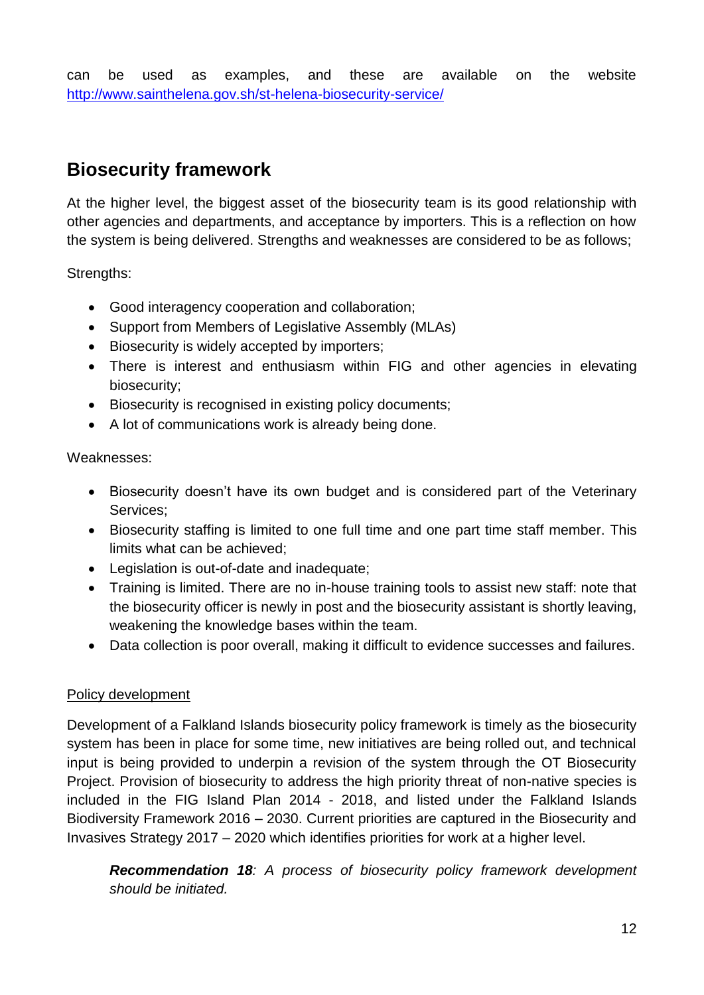can be used as examples, and these are available on the website <http://www.sainthelena.gov.sh/st-helena-biosecurity-service/>

### <span id="page-11-0"></span>**Biosecurity framework**

At the higher level, the biggest asset of the biosecurity team is its good relationship with other agencies and departments, and acceptance by importers. This is a reflection on how the system is being delivered. Strengths and weaknesses are considered to be as follows;

Strengths:

- Good interagency cooperation and collaboration;
- Support from Members of Legislative Assembly (MLAs)
- Biosecurity is widely accepted by importers;
- There is interest and enthusiasm within FIG and other agencies in elevating biosecurity;
- Biosecurity is recognised in existing policy documents;
- A lot of communications work is already being done.

Weaknesses:

- Biosecurity doesn't have its own budget and is considered part of the Veterinary Services;
- Biosecurity staffing is limited to one full time and one part time staff member. This limits what can be achieved;
- Legislation is out-of-date and inadequate;
- Training is limited. There are no in-house training tools to assist new staff: note that the biosecurity officer is newly in post and the biosecurity assistant is shortly leaving, weakening the knowledge bases within the team.
- Data collection is poor overall, making it difficult to evidence successes and failures.

#### <span id="page-11-1"></span>Policy development

Development of a Falkland Islands biosecurity policy framework is timely as the biosecurity system has been in place for some time, new initiatives are being rolled out, and technical input is being provided to underpin a revision of the system through the OT Biosecurity Project. Provision of biosecurity to address the high priority threat of non-native species is included in the FIG Island Plan 2014 - 2018, and listed under the Falkland Islands Biodiversity Framework 2016 – 2030. Current priorities are captured in the Biosecurity and Invasives Strategy 2017 – 2020 which identifies priorities for work at a higher level.

*Recommendation 18: A process of biosecurity policy framework development should be initiated.*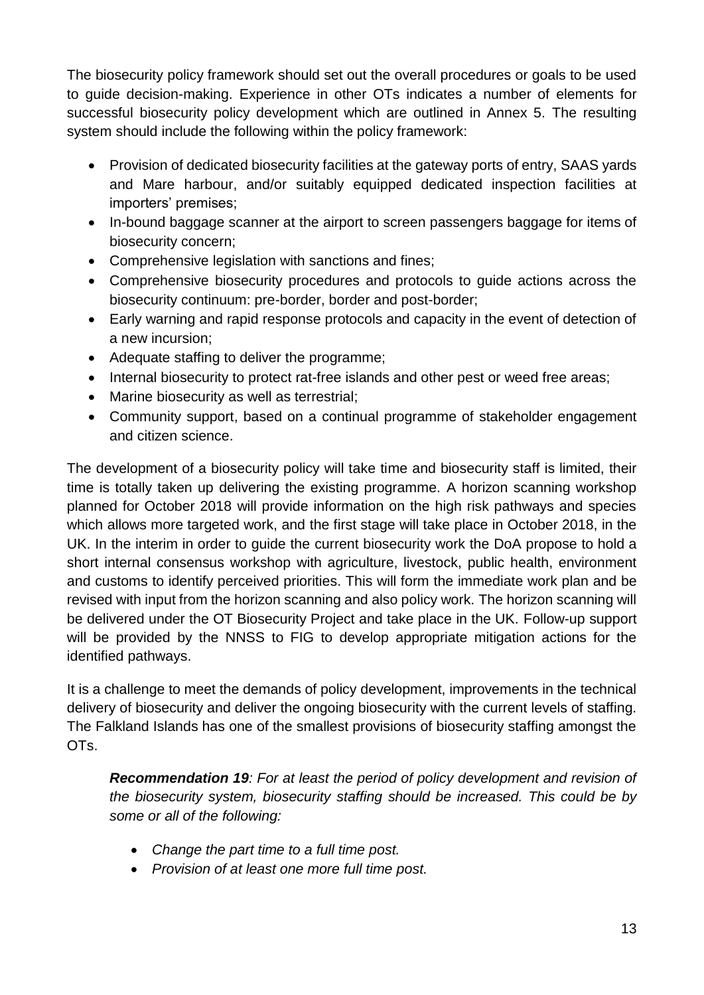The biosecurity policy framework should set out the overall procedures or goals to be used to guide decision-making. Experience in other OTs indicates a number of elements for successful biosecurity policy development which are outlined in Annex 5. The resulting system should include the following within the policy framework:

- Provision of dedicated biosecurity facilities at the gateway ports of entry, SAAS yards and Mare harbour, and/or suitably equipped dedicated inspection facilities at importers' premises;
- In-bound baggage scanner at the airport to screen passengers baggage for items of biosecurity concern;
- Comprehensive legislation with sanctions and fines;
- Comprehensive biosecurity procedures and protocols to guide actions across the biosecurity continuum: pre-border, border and post-border;
- Early warning and rapid response protocols and capacity in the event of detection of a new incursion;
- Adequate staffing to deliver the programme;
- Internal biosecurity to protect rat-free islands and other pest or weed free areas;
- Marine biosecurity as well as terrestrial;
- Community support, based on a continual programme of stakeholder engagement and citizen science.

The development of a biosecurity policy will take time and biosecurity staff is limited, their time is totally taken up delivering the existing programme. A horizon scanning workshop planned for October 2018 will provide information on the high risk pathways and species which allows more targeted work, and the first stage will take place in October 2018, in the UK. In the interim in order to guide the current biosecurity work the DoA propose to hold a short internal consensus workshop with agriculture, livestock, public health, environment and customs to identify perceived priorities. This will form the immediate work plan and be revised with input from the horizon scanning and also policy work. The horizon scanning will be delivered under the OT Biosecurity Project and take place in the UK. Follow-up support will be provided by the NNSS to FIG to develop appropriate mitigation actions for the identified pathways.

It is a challenge to meet the demands of policy development, improvements in the technical delivery of biosecurity and deliver the ongoing biosecurity with the current levels of staffing. The Falkland Islands has one of the smallest provisions of biosecurity staffing amongst the OTs.

*Recommendation 19: For at least the period of policy development and revision of the biosecurity system, biosecurity staffing should be increased. This could be by some or all of the following:*

- *Change the part time to a full time post.*
- *Provision of at least one more full time post.*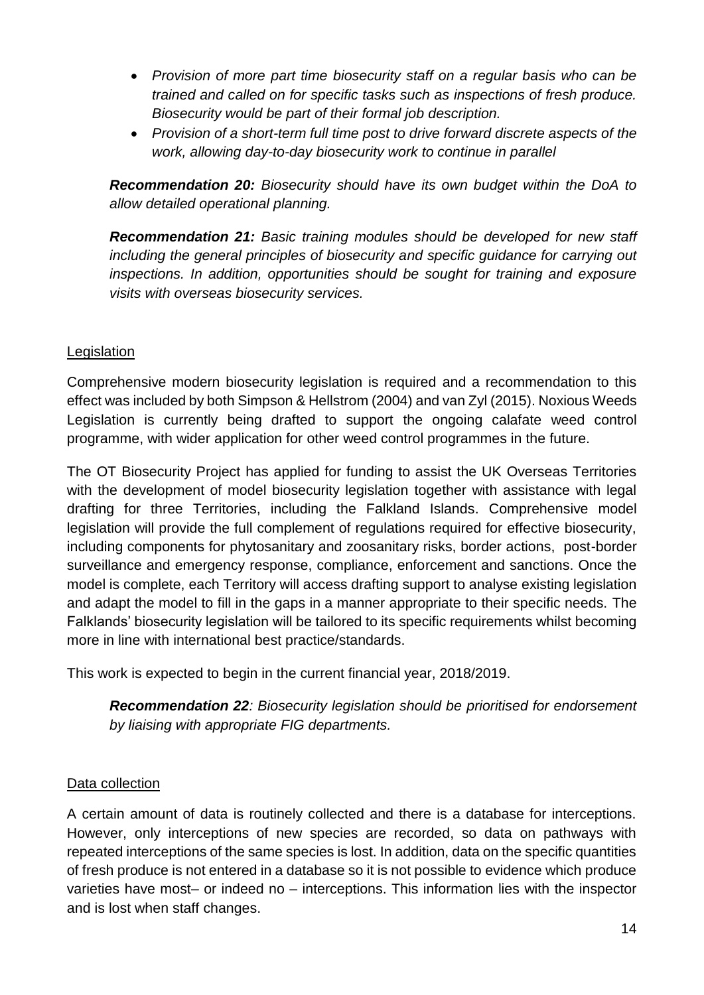- *Provision of more part time biosecurity staff on a regular basis who can be trained and called on for specific tasks such as inspections of fresh produce. Biosecurity would be part of their formal job description.*
- *Provision of a short-term full time post to drive forward discrete aspects of the work, allowing day-to-day biosecurity work to continue in parallel*

*Recommendation 20: Biosecurity should have its own budget within the DoA to allow detailed operational planning.* 

*Recommendation 21: Basic training modules should be developed for new staff including the general principles of biosecurity and specific guidance for carrying out inspections. In addition, opportunities should be sought for training and exposure visits with overseas biosecurity services.* 

### <span id="page-13-0"></span>**Legislation**

Comprehensive modern biosecurity legislation is required and a recommendation to this effect was included by both Simpson & Hellstrom (2004) and van Zyl (2015). Noxious Weeds Legislation is currently being drafted to support the ongoing calafate weed control programme, with wider application for other weed control programmes in the future.

The OT Biosecurity Project has applied for funding to assist the UK Overseas Territories with the development of model biosecurity legislation together with assistance with legal drafting for three Territories, including the Falkland Islands. Comprehensive model legislation will provide the full complement of regulations required for effective biosecurity, including components for phytosanitary and zoosanitary risks, border actions, post-border surveillance and emergency response, compliance, enforcement and sanctions. Once the model is complete, each Territory will access drafting support to analyse existing legislation and adapt the model to fill in the gaps in a manner appropriate to their specific needs. The Falklands' biosecurity legislation will be tailored to its specific requirements whilst becoming more in line with international best practice/standards.

This work is expected to begin in the current financial year, 2018/2019.

*Recommendation 22: Biosecurity legislation should be prioritised for endorsement by liaising with appropriate FIG departments.*

#### <span id="page-13-1"></span>Data collection

A certain amount of data is routinely collected and there is a database for interceptions. However, only interceptions of new species are recorded, so data on pathways with repeated interceptions of the same species is lost. In addition, data on the specific quantities of fresh produce is not entered in a database so it is not possible to evidence which produce varieties have most– or indeed no – interceptions. This information lies with the inspector and is lost when staff changes.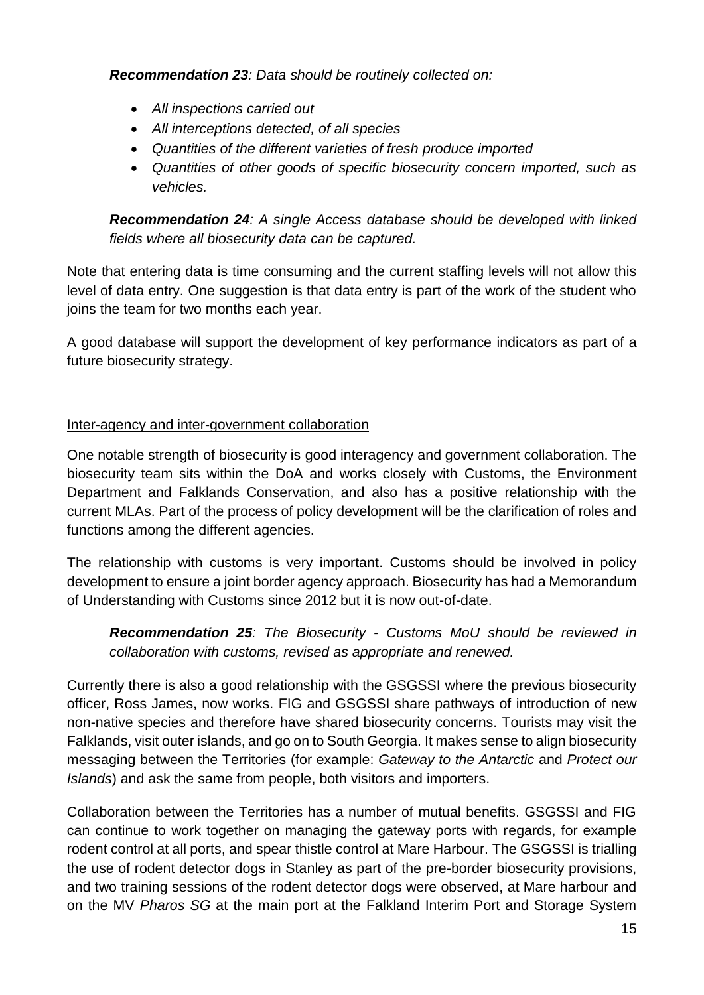*Recommendation 23: Data should be routinely collected on:*

- *All inspections carried out*
- *All interceptions detected, of all species*
- *Quantities of the different varieties of fresh produce imported*
- *Quantities of other goods of specific biosecurity concern imported, such as vehicles.*

*Recommendation 24: A single Access database should be developed with linked fields where all biosecurity data can be captured.*

Note that entering data is time consuming and the current staffing levels will not allow this level of data entry. One suggestion is that data entry is part of the work of the student who joins the team for two months each year.

A good database will support the development of key performance indicators as part of a future biosecurity strategy.

### <span id="page-14-0"></span>Inter-agency and inter-government collaboration

One notable strength of biosecurity is good interagency and government collaboration. The biosecurity team sits within the DoA and works closely with Customs, the Environment Department and Falklands Conservation, and also has a positive relationship with the current MLAs. Part of the process of policy development will be the clarification of roles and functions among the different agencies.

The relationship with customs is very important. Customs should be involved in policy development to ensure a joint border agency approach. Biosecurity has had a Memorandum of Understanding with Customs since 2012 but it is now out-of-date.

*Recommendation 25: The Biosecurity - Customs MoU should be reviewed in collaboration with customs, revised as appropriate and renewed.*

Currently there is also a good relationship with the GSGSSI where the previous biosecurity officer, Ross James, now works. FIG and GSGSSI share pathways of introduction of new non-native species and therefore have shared biosecurity concerns. Tourists may visit the Falklands, visit outer islands, and go on to South Georgia. It makes sense to align biosecurity messaging between the Territories (for example: *Gateway to the Antarctic* and *Protect our Islands*) and ask the same from people, both visitors and importers.

Collaboration between the Territories has a number of mutual benefits. GSGSSI and FIG can continue to work together on managing the gateway ports with regards, for example rodent control at all ports, and spear thistle control at Mare Harbour. The GSGSSI is trialling the use of rodent detector dogs in Stanley as part of the pre-border biosecurity provisions, and two training sessions of the rodent detector dogs were observed, at Mare harbour and on the MV *Pharos SG* at the main port at the Falkland Interim Port and Storage System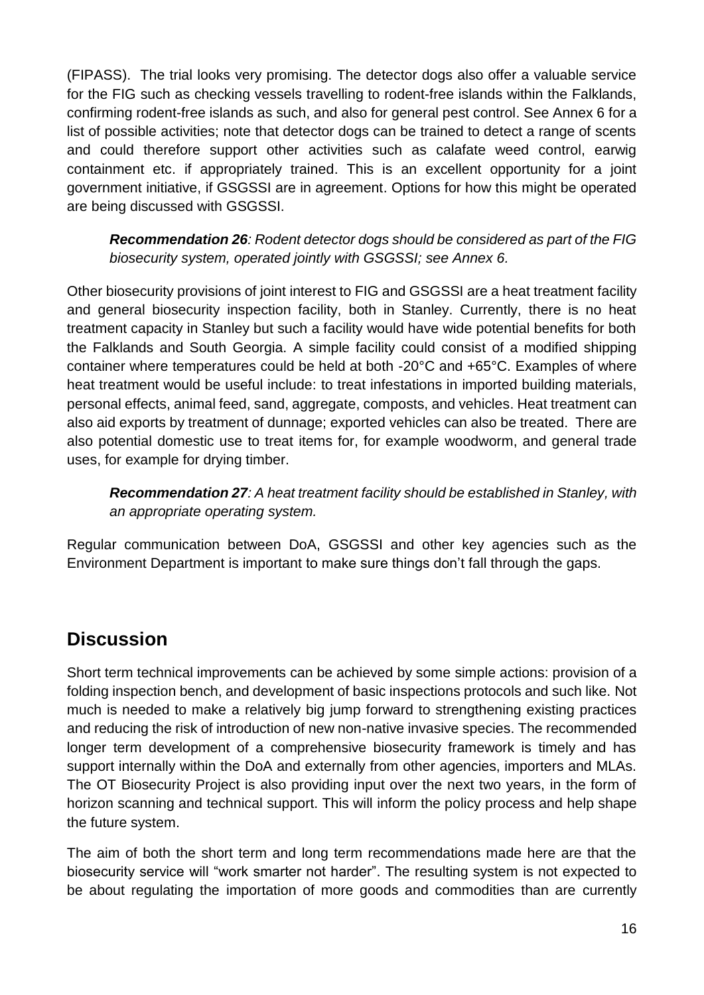(FIPASS). The trial looks very promising. The detector dogs also offer a valuable service for the FIG such as checking vessels travelling to rodent-free islands within the Falklands, confirming rodent-free islands as such, and also for general pest control. See Annex 6 for a list of possible activities; note that detector dogs can be trained to detect a range of scents and could therefore support other activities such as calafate weed control, earwig containment etc. if appropriately trained. This is an excellent opportunity for a joint government initiative, if GSGSSI are in agreement. Options for how this might be operated are being discussed with GSGSSI.

*Recommendation 26: Rodent detector dogs should be considered as part of the FIG biosecurity system, operated jointly with GSGSSI; see Annex 6.*

Other biosecurity provisions of joint interest to FIG and GSGSSI are a heat treatment facility and general biosecurity inspection facility, both in Stanley. Currently, there is no heat treatment capacity in Stanley but such a facility would have wide potential benefits for both the Falklands and South Georgia. A simple facility could consist of a modified shipping container where temperatures could be held at both -20°C and +65°C. Examples of where heat treatment would be useful include: to treat infestations in imported building materials, personal effects, animal feed, sand, aggregate, composts, and vehicles. Heat treatment can also aid exports by treatment of dunnage; exported vehicles can also be treated. There are also potential domestic use to treat items for, for example woodworm, and general trade uses, for example for drying timber.

*Recommendation 27: A heat treatment facility should be established in Stanley, with an appropriate operating system.* 

Regular communication between DoA, GSGSSI and other key agencies such as the Environment Department is important to make sure things don't fall through the gaps.

## <span id="page-15-0"></span>**Discussion**

Short term technical improvements can be achieved by some simple actions: provision of a folding inspection bench, and development of basic inspections protocols and such like. Not much is needed to make a relatively big jump forward to strengthening existing practices and reducing the risk of introduction of new non-native invasive species. The recommended longer term development of a comprehensive biosecurity framework is timely and has support internally within the DoA and externally from other agencies, importers and MLAs. The OT Biosecurity Project is also providing input over the next two years, in the form of horizon scanning and technical support. This will inform the policy process and help shape the future system.

The aim of both the short term and long term recommendations made here are that the biosecurity service will "work smarter not harder". The resulting system is not expected to be about regulating the importation of more goods and commodities than are currently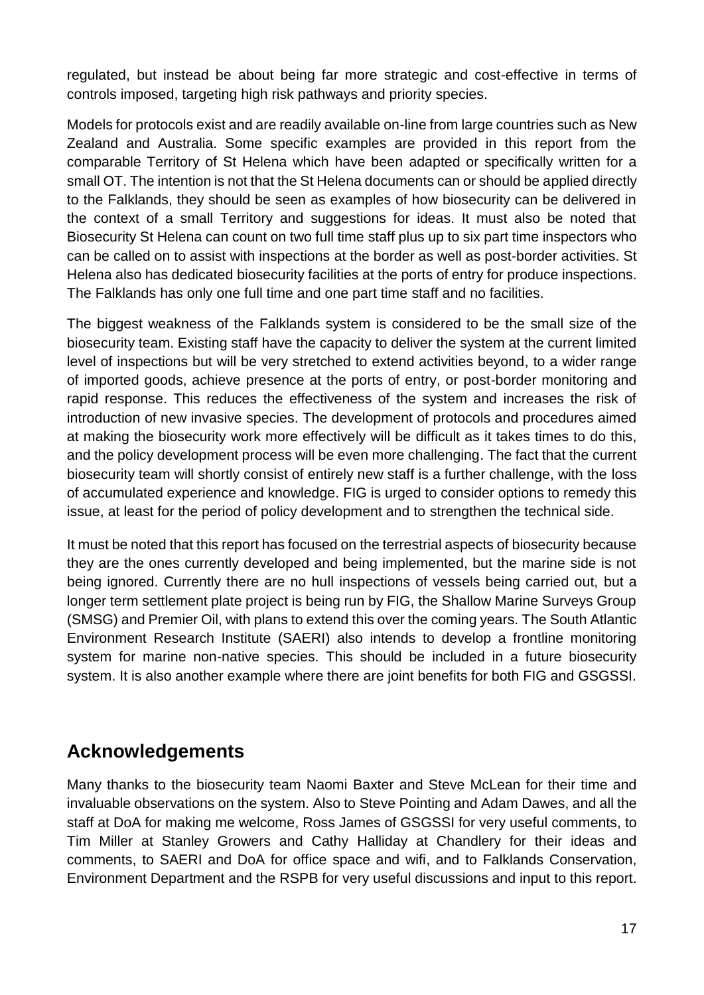regulated, but instead be about being far more strategic and cost-effective in terms of controls imposed, targeting high risk pathways and priority species.

Models for protocols exist and are readily available on-line from large countries such as New Zealand and Australia. Some specific examples are provided in this report from the comparable Territory of St Helena which have been adapted or specifically written for a small OT. The intention is not that the St Helena documents can or should be applied directly to the Falklands, they should be seen as examples of how biosecurity can be delivered in the context of a small Territory and suggestions for ideas. It must also be noted that Biosecurity St Helena can count on two full time staff plus up to six part time inspectors who can be called on to assist with inspections at the border as well as post-border activities. St Helena also has dedicated biosecurity facilities at the ports of entry for produce inspections. The Falklands has only one full time and one part time staff and no facilities.

The biggest weakness of the Falklands system is considered to be the small size of the biosecurity team. Existing staff have the capacity to deliver the system at the current limited level of inspections but will be very stretched to extend activities beyond, to a wider range of imported goods, achieve presence at the ports of entry, or post-border monitoring and rapid response. This reduces the effectiveness of the system and increases the risk of introduction of new invasive species. The development of protocols and procedures aimed at making the biosecurity work more effectively will be difficult as it takes times to do this, and the policy development process will be even more challenging. The fact that the current biosecurity team will shortly consist of entirely new staff is a further challenge, with the loss of accumulated experience and knowledge. FIG is urged to consider options to remedy this issue, at least for the period of policy development and to strengthen the technical side.

It must be noted that this report has focused on the terrestrial aspects of biosecurity because they are the ones currently developed and being implemented, but the marine side is not being ignored. Currently there are no hull inspections of vessels being carried out, but a longer term settlement plate project is being run by FIG, the Shallow Marine Surveys Group (SMSG) and Premier Oil, with plans to extend this over the coming years. The South Atlantic Environment Research Institute (SAERI) also intends to develop a frontline monitoring system for marine non-native species. This should be included in a future biosecurity system. It is also another example where there are joint benefits for both FIG and GSGSSI.

### <span id="page-16-0"></span>**Acknowledgements**

Many thanks to the biosecurity team Naomi Baxter and Steve McLean for their time and invaluable observations on the system. Also to Steve Pointing and Adam Dawes, and all the staff at DoA for making me welcome, Ross James of GSGSSI for very useful comments, to Tim Miller at Stanley Growers and Cathy Halliday at Chandlery for their ideas and comments, to SAERI and DoA for office space and wifi, and to Falklands Conservation, Environment Department and the RSPB for very useful discussions and input to this report.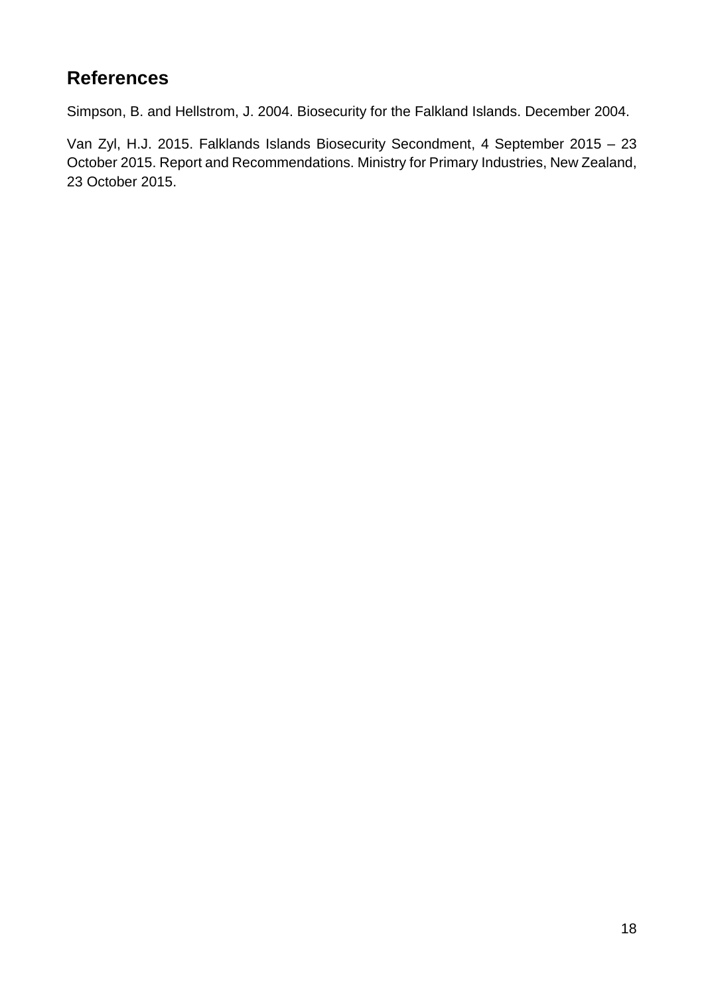# <span id="page-17-0"></span>**References**

Simpson, B. and Hellstrom, J. 2004. Biosecurity for the Falkland Islands. December 2004.

Van Zyl, H.J. 2015. Falklands Islands Biosecurity Secondment, 4 September 2015 – 23 October 2015. Report and Recommendations. Ministry for Primary Industries, New Zealand, 23 October 2015.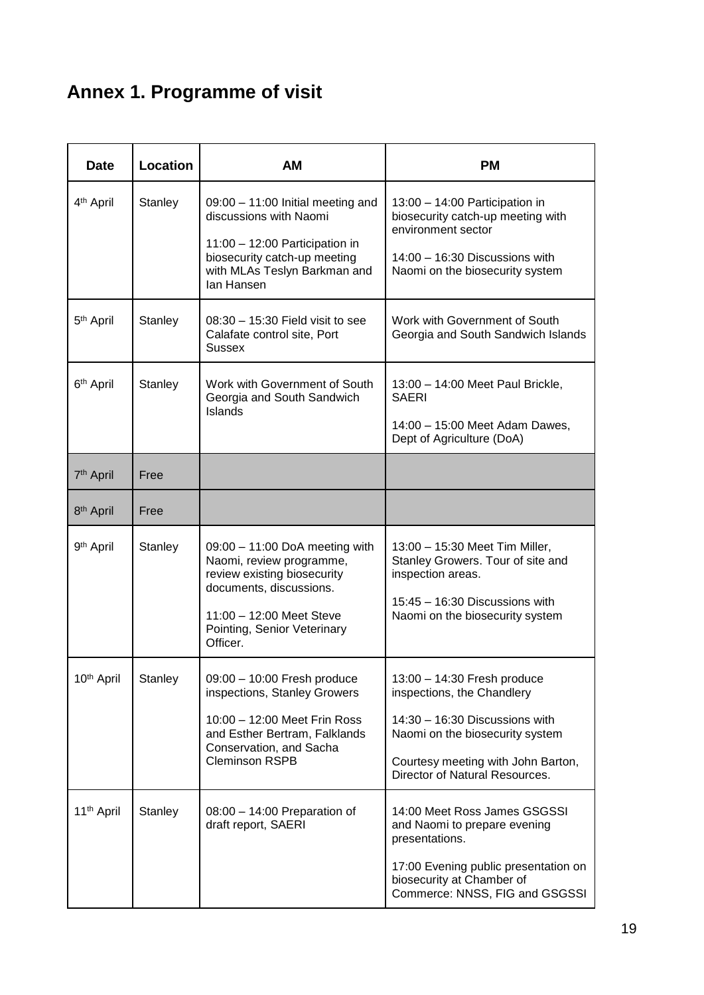# <span id="page-18-0"></span>**Annex 1. Programme of visit**

| <b>Date</b>            | Location                                                                                                                                                                                             | AM                                                                                                                                                                                            | <b>PM</b>                                                                                                                                                                                                |  |  |
|------------------------|------------------------------------------------------------------------------------------------------------------------------------------------------------------------------------------------------|-----------------------------------------------------------------------------------------------------------------------------------------------------------------------------------------------|----------------------------------------------------------------------------------------------------------------------------------------------------------------------------------------------------------|--|--|
| 4 <sup>th</sup> April  | Stanley                                                                                                                                                                                              | 09:00 - 11:00 Initial meeting and<br>discussions with Naomi<br>$11:00 - 12:00$ Participation in<br>biosecurity catch-up meeting<br>with MLAs Teslyn Barkman and<br>lan Hansen                 | 13:00 - 14:00 Participation in<br>biosecurity catch-up meeting with<br>environment sector<br>14:00 - 16:30 Discussions with<br>Naomi on the biosecurity system                                           |  |  |
| 5 <sup>th</sup> April  | Stanley                                                                                                                                                                                              | $08:30 - 15:30$ Field visit to see<br>Calafate control site, Port<br><b>Sussex</b>                                                                                                            | Work with Government of South<br>Georgia and South Sandwich Islands                                                                                                                                      |  |  |
| 6 <sup>th</sup> April  | Stanley<br>Work with Government of South<br>13:00 - 14:00 Meet Paul Brickle,<br>Georgia and South Sandwich<br><b>SAERI</b><br>Islands<br>14:00 - 15:00 Meet Adam Dawes,<br>Dept of Agriculture (DoA) |                                                                                                                                                                                               |                                                                                                                                                                                                          |  |  |
| 7 <sup>th</sup> April  | Free                                                                                                                                                                                                 |                                                                                                                                                                                               |                                                                                                                                                                                                          |  |  |
| 8 <sup>th</sup> April  | Free                                                                                                                                                                                                 |                                                                                                                                                                                               |                                                                                                                                                                                                          |  |  |
| 9 <sup>th</sup> April  | Stanley                                                                                                                                                                                              | $09:00 - 11:00$ DoA meeting with<br>Naomi, review programme,<br>review existing biosecurity<br>documents, discussions.<br>11:00 - 12:00 Meet Steve<br>Pointing, Senior Veterinary<br>Officer. | 13:00 - 15:30 Meet Tim Miller,<br>Stanley Growers. Tour of site and<br>inspection areas.<br>$15:45 - 16:30$ Discussions with<br>Naomi on the biosecurity system                                          |  |  |
| 10 <sup>th</sup> April | Stanley                                                                                                                                                                                              | 09:00 - 10:00 Fresh produce<br>inspections, Stanley Growers<br>10:00 - 12:00 Meet Frin Ross<br>and Esther Bertram, Falklands<br>Conservation, and Sacha<br><b>Cleminson RSPB</b>              | 13:00 - 14:30 Fresh produce<br>inspections, the Chandlery<br>$14:30 - 16:30$ Discussions with<br>Naomi on the biosecurity system<br>Courtesy meeting with John Barton,<br>Director of Natural Resources. |  |  |
| 11 <sup>th</sup> April | Stanley                                                                                                                                                                                              | $08:00 - 14:00$ Preparation of<br>draft report, SAERI                                                                                                                                         | 14:00 Meet Ross James GSGSSI<br>and Naomi to prepare evening<br>presentations.<br>17:00 Evening public presentation on<br>biosecurity at Chamber of<br>Commerce: NNSS, FIG and GSGSSI                    |  |  |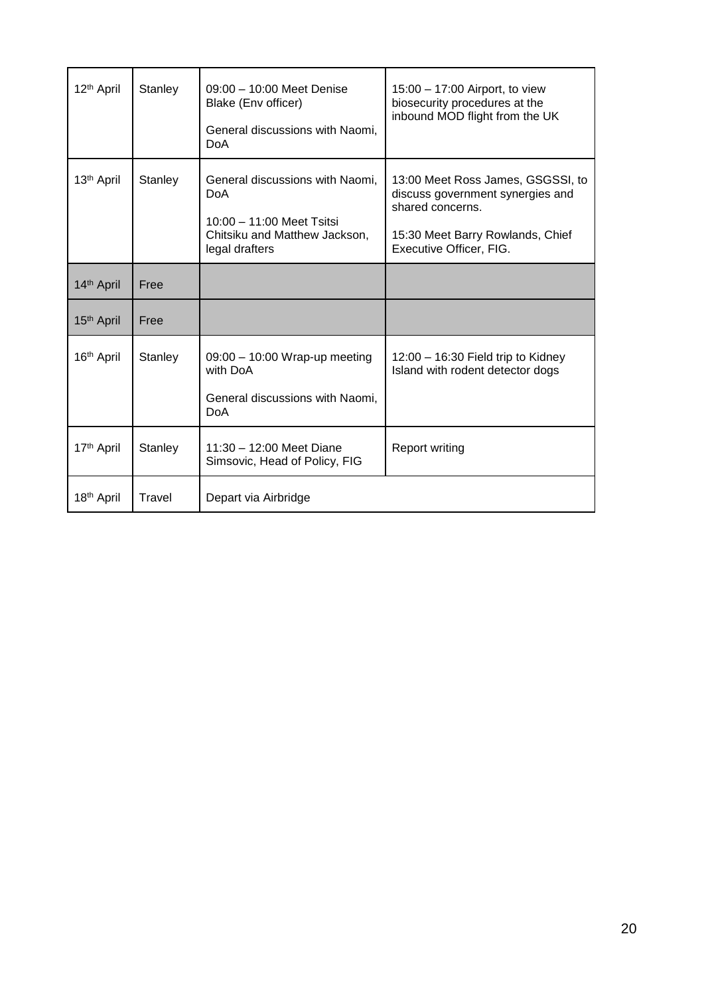| 12 <sup>th</sup> April | Stanley | 09:00 - 10:00 Meet Denise<br>Blake (Env officer)<br>General discussions with Naomi,<br><b>DoA</b>                               | 15:00 - 17:00 Airport, to view<br>biosecurity procedures at the<br>inbound MOD flight from the UK                                                        |
|------------------------|---------|---------------------------------------------------------------------------------------------------------------------------------|----------------------------------------------------------------------------------------------------------------------------------------------------------|
| 13 <sup>th</sup> April | Stanley | General discussions with Naomi,<br><b>DoA</b><br>$10:00 - 11:00$ Meet Tsitsi<br>Chitsiku and Matthew Jackson,<br>legal drafters | 13:00 Meet Ross James, GSGSSI, to<br>discuss government synergies and<br>shared concerns.<br>15:30 Meet Barry Rowlands, Chief<br>Executive Officer, FIG. |
| 14th April             | Free    |                                                                                                                                 |                                                                                                                                                          |
| 15 <sup>th</sup> April | Free    |                                                                                                                                 |                                                                                                                                                          |
| 16th April             | Stanley | $09:00 - 10:00$ Wrap-up meeting<br>with DoA<br>General discussions with Naomi,<br><b>DoA</b>                                    | $12:00 - 16:30$ Field trip to Kidney<br>Island with rodent detector dogs                                                                                 |
| 17 <sup>th</sup> April | Stanley | 11:30 - 12:00 Meet Diane<br>Simsovic, Head of Policy, FIG                                                                       | <b>Report writing</b>                                                                                                                                    |
| 18 <sup>th</sup> April | Travel  | Depart via Airbridge                                                                                                            |                                                                                                                                                          |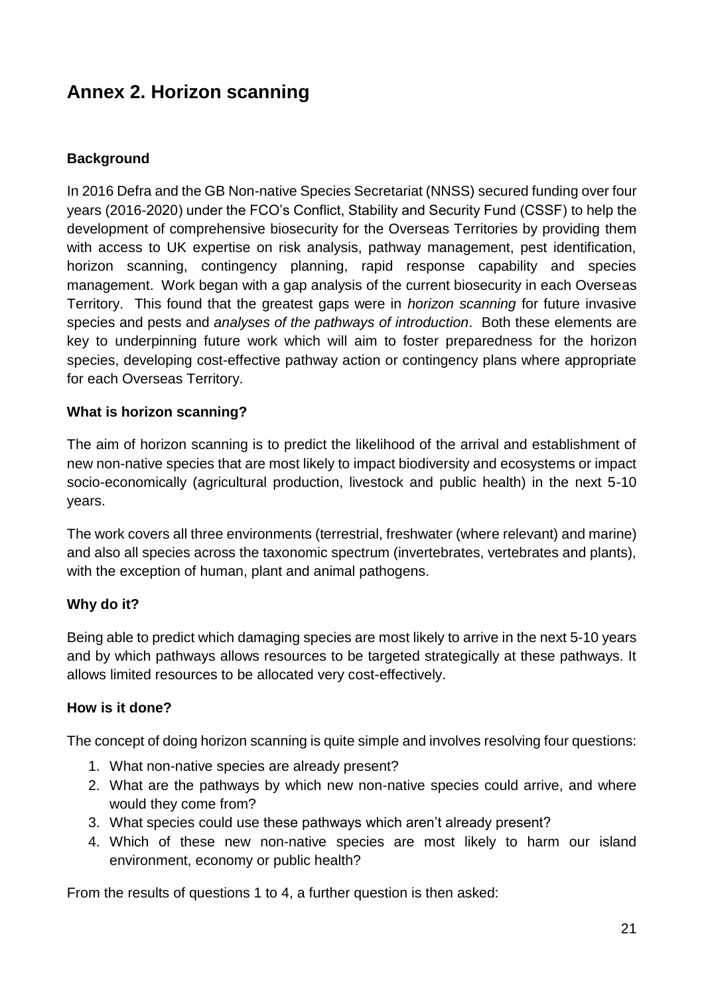## <span id="page-20-0"></span>**Annex 2. Horizon scanning**

### **Background**

In 2016 Defra and the GB Non-native Species Secretariat (NNSS) secured funding over four years (2016-2020) under the FCO's Conflict, Stability and Security Fund (CSSF) to help the development of comprehensive biosecurity for the Overseas Territories by providing them with access to UK expertise on risk analysis, pathway management, pest identification, horizon scanning, contingency planning, rapid response capability and species management. Work began with a gap analysis of the current biosecurity in each Overseas Territory. This found that the greatest gaps were in *horizon scanning* for future invasive species and pests and *analyses of the pathways of introduction*. Both these elements are key to underpinning future work which will aim to foster preparedness for the horizon species, developing cost-effective pathway action or contingency plans where appropriate for each Overseas Territory.

#### **What is horizon scanning?**

The aim of horizon scanning is to predict the likelihood of the arrival and establishment of new non-native species that are most likely to impact biodiversity and ecosystems or impact socio-economically (agricultural production, livestock and public health) in the next 5-10 years.

The work covers all three environments (terrestrial, freshwater (where relevant) and marine) and also all species across the taxonomic spectrum (invertebrates, vertebrates and plants), with the exception of human, plant and animal pathogens.

#### **Why do it?**

Being able to predict which damaging species are most likely to arrive in the next 5-10 years and by which pathways allows resources to be targeted strategically at these pathways. It allows limited resources to be allocated very cost-effectively.

#### **How is it done?**

The concept of doing horizon scanning is quite simple and involves resolving four questions:

- 1. What non-native species are already present?
- 2. What are the pathways by which new non-native species could arrive, and where would they come from?
- 3. What species could use these pathways which aren't already present?
- 4. Which of these new non-native species are most likely to harm our island environment, economy or public health?

From the results of questions 1 to 4, a further question is then asked: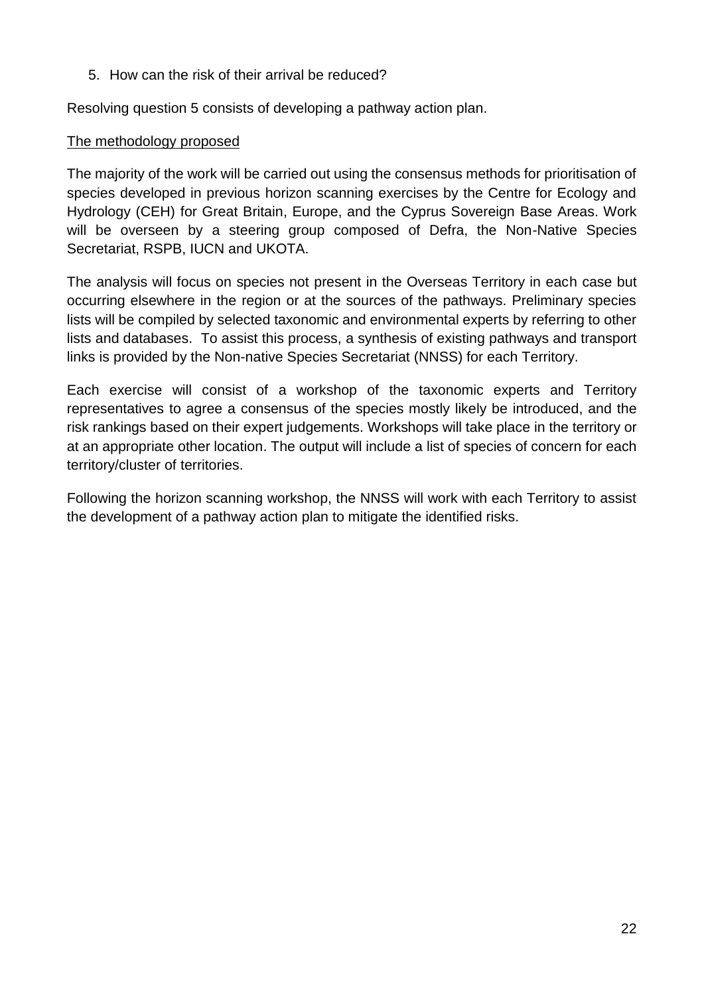5. How can the risk of their arrival be reduced?

Resolving question 5 consists of developing a pathway action plan.

#### The methodology proposed

The majority of the work will be carried out using the consensus methods for prioritisation of species developed in previous horizon scanning exercises by the Centre for Ecology and Hydrology (CEH) for Great Britain, Europe, and the Cyprus Sovereign Base Areas. Work will be overseen by a steering group composed of Defra, the Non-Native Species Secretariat, RSPB, IUCN and UKOTA.

The analysis will focus on species not present in the Overseas Territory in each case but occurring elsewhere in the region or at the sources of the pathways. Preliminary species lists will be compiled by selected taxonomic and environmental experts by referring to other lists and databases. To assist this process, a synthesis of existing pathways and transport links is provided by the Non-native Species Secretariat (NNSS) for each Territory.

Each exercise will consist of a workshop of the taxonomic experts and Territory representatives to agree a consensus of the species mostly likely be introduced, and the risk rankings based on their expert judgements. Workshops will take place in the territory or at an appropriate other location. The output will include a list of species of concern for each territory/cluster of territories.

Following the horizon scanning workshop, the NNSS will work with each Territory to assist the development of a pathway action plan to mitigate the identified risks.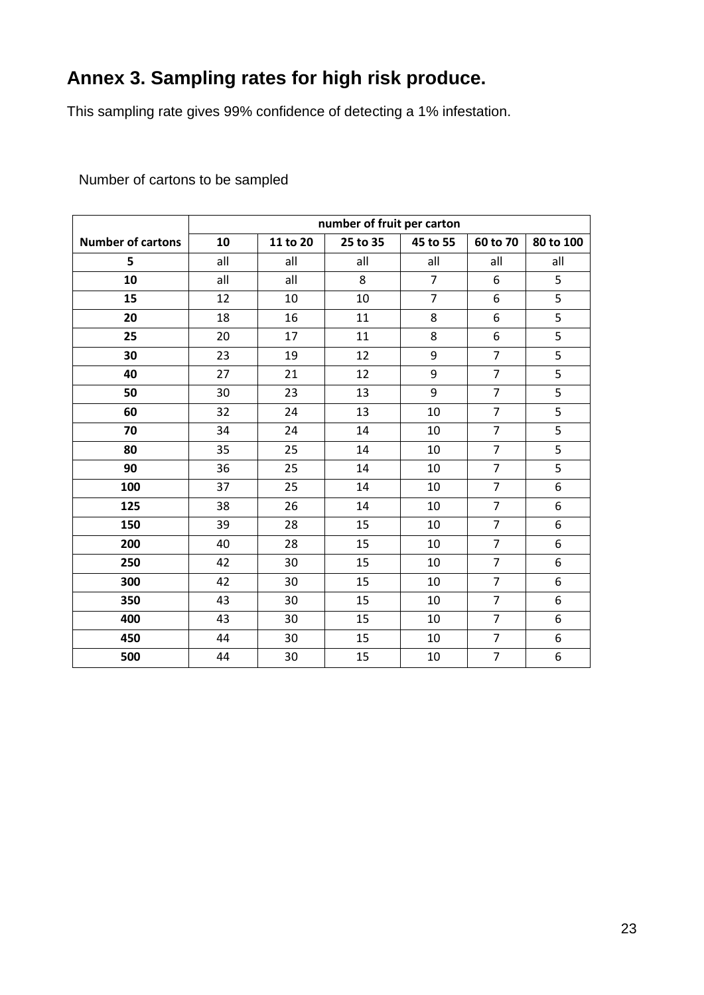# <span id="page-22-0"></span>**Annex 3. Sampling rates for high risk produce.**

This sampling rate gives 99% confidence of detecting a 1% infestation.

|                          | number of fruit per carton |          |          |                |                |                |  |
|--------------------------|----------------------------|----------|----------|----------------|----------------|----------------|--|
| <b>Number of cartons</b> | 10                         | 11 to 20 | 25 to 35 | 45 to 55       | 60 to 70       | 80 to 100      |  |
| 5                        | all                        | all      | all      | all            | all            | all            |  |
| 10                       | all                        | all      | 8        | $\overline{7}$ | 6              | 5              |  |
| 15                       | 12                         | 10       | 10       | $\overline{7}$ | 6              | 5              |  |
| 20                       | 18                         | 16       | 11       | 8              | 6              | $\overline{5}$ |  |
| 25                       | 20                         | 17       | 11       | 8              | 6              | $\overline{5}$ |  |
| 30                       | 23                         | 19       | 12       | 9              | $\overline{7}$ | 5              |  |
| 40                       | 27                         | 21       | 12       | 9              | $\overline{7}$ | 5              |  |
| 50                       | 30                         | 23       | 13       | 9              | $\overline{7}$ | $\overline{5}$ |  |
| 60                       | 32                         | 24       | 13       | 10             | $\overline{7}$ | 5              |  |
| 70                       | 34                         | 24       | 14       | 10             | $\overline{7}$ | $\overline{5}$ |  |
| 80                       | 35                         | 25       | 14       | 10             | $\overline{7}$ | 5              |  |
| 90                       | 36                         | 25       | 14       | 10             | $\overline{7}$ | $\overline{5}$ |  |
| 100                      | 37                         | 25       | 14       | 10             | $\overline{7}$ | $\overline{6}$ |  |
| 125                      | 38                         | 26       | 14       | 10             | $\overline{7}$ | 6              |  |
| 150                      | 39                         | 28       | 15       | 10             | $\overline{7}$ | 6              |  |
| 200                      | 40                         | 28       | 15       | 10             | $\overline{7}$ | 6              |  |
| 250                      | 42                         | 30       | 15       | 10             | $\overline{7}$ | 6              |  |
| 300                      | 42                         | 30       | 15       | 10             | $\overline{7}$ | 6              |  |
| 350                      | 43                         | 30       | 15       | 10             | $\overline{7}$ | 6              |  |
| 400                      | 43                         | 30       | 15       | 10             | $\overline{7}$ | 6              |  |
| 450                      | 44                         | 30       | 15       | 10             | $\overline{7}$ | 6              |  |
| 500                      | 44                         | 30       | 15       | 10             | $\overline{7}$ | $\overline{6}$ |  |

Number of cartons to be sampled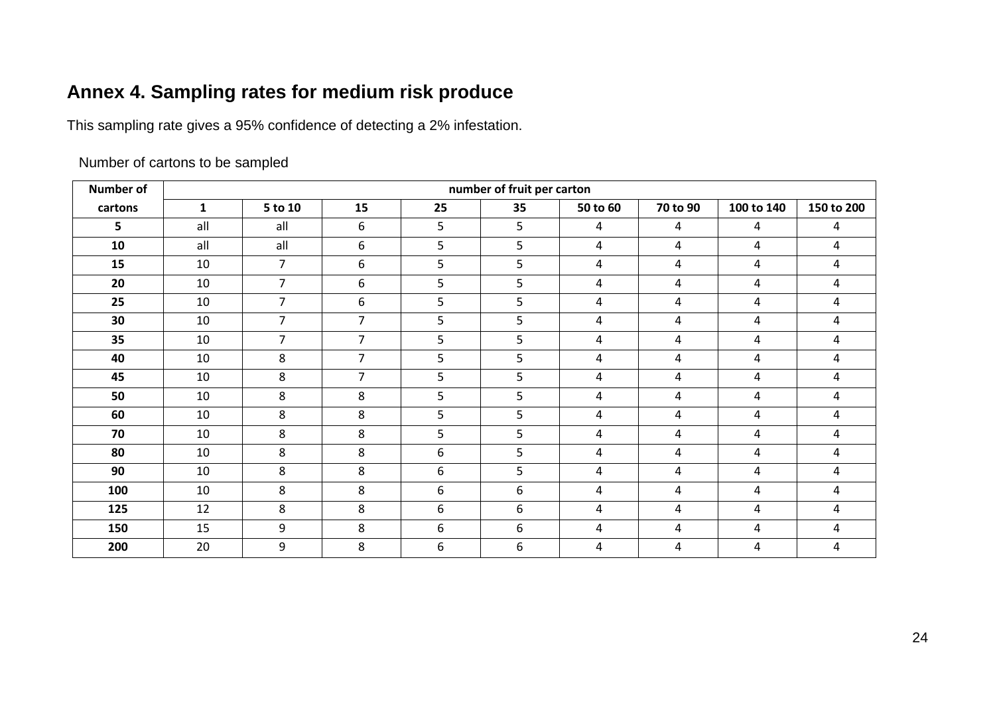# **Annex 4. Sampling rates for medium risk produce**

This sampling rate gives a 95% confidence of detecting a 2% infestation.

Number of cartons to be sampled

<span id="page-23-0"></span>

| <b>Number of</b> | number of fruit per carton |                |                |    |    |                |                |                |            |
|------------------|----------------------------|----------------|----------------|----|----|----------------|----------------|----------------|------------|
| cartons          | $\mathbf{1}$               | 5 to 10        | 15             | 25 | 35 | 50 to 60       | 70 to 90       | 100 to 140     | 150 to 200 |
| 5                | all                        | all            | 6              | 5  | 5  | 4              | $\overline{a}$ | 4              | 4          |
| 10               | all                        | all            | 6              | 5  | 5  | 4              | 4              | 4              | 4          |
| 15               | 10                         | $\overline{7}$ | 6              | 5  | 5  | 4              | 4              | 4              | 4          |
| 20               | 10                         | $\overline{7}$ | 6              | 5  | 5  | 4              | 4              | 4              | 4          |
| 25               | 10                         | $\overline{7}$ | 6              | 5  | 5  | 4              | 4              | 4              | 4          |
| 30               | 10                         | $\overline{7}$ | $\overline{7}$ | 5  | 5  | 4              | 4              | 4              | 4          |
| 35               | 10                         | $\overline{7}$ | $\overline{7}$ | 5  | 5  | 4              | 4              | $\overline{4}$ | 4          |
| 40               | 10                         | 8              | $\overline{7}$ | 5  | 5  | 4              | 4              | 4              | 4          |
| 45               | 10                         | 8              | $\overline{7}$ | 5  | 5  | 4              | 4              | 4              | 4          |
| 50               | 10                         | 8              | 8              | 5  | 5  | 4              | 4              | 4              | 4          |
| 60               | 10                         | 8              | 8              | 5  | 5  | 4              | 4              | 4              | 4          |
| 70               | 10                         | 8              | 8              | 5  | 5  | 4              | 4              | 4              | 4          |
| 80               | 10                         | 8              | 8              | 6  | 5  | 4              | 4              | 4              | 4          |
| 90               | 10                         | 8              | 8              | 6  | 5  | 4              | 4              | 4              | 4          |
| 100              | 10                         | 8              | 8              | 6  | 6  | 4              | 4              | 4              | 4          |
| 125              | 12                         | 8              | 8              | 6  | 6  | 4              | 4              | 4              | 4          |
| 150              | 15                         | 9              | 8              | 6  | 6  | $\overline{4}$ | 4              | 4              | 4          |
| 200              | 20                         | 9              | 8              | 6  | 6  | 4              | 4              | 4              | 4          |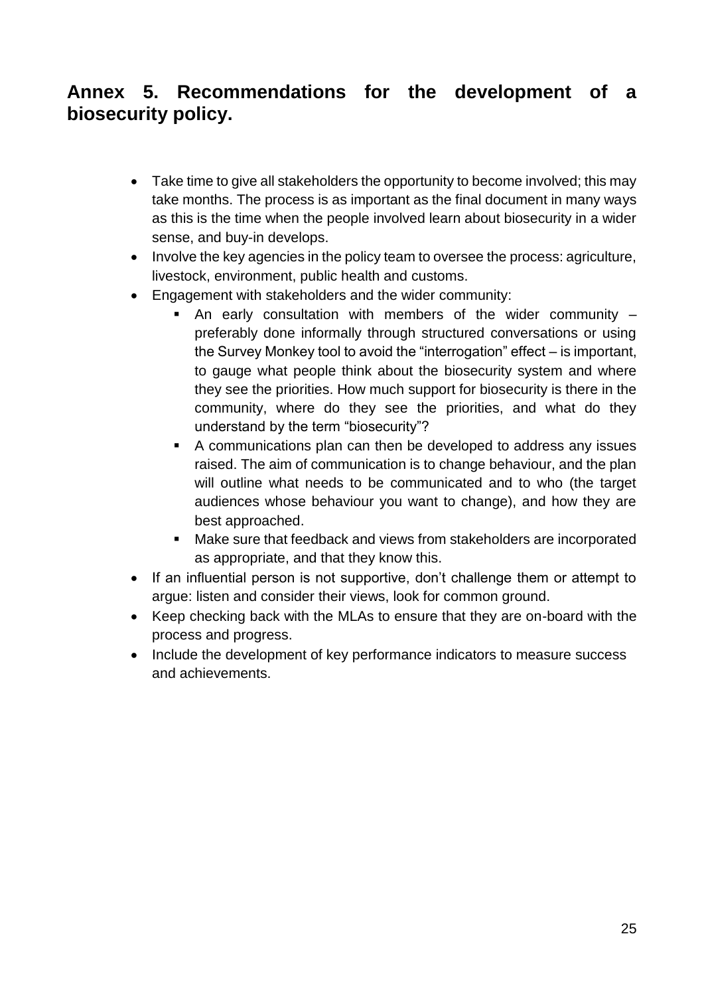### <span id="page-24-0"></span>**Annex 5. Recommendations for the development of a biosecurity policy.**

- Take time to give all stakeholders the opportunity to become involved; this may take months. The process is as important as the final document in many ways as this is the time when the people involved learn about biosecurity in a wider sense, and buy-in develops.
- Involve the key agencies in the policy team to oversee the process: agriculture, livestock, environment, public health and customs.
- Engagement with stakeholders and the wider community:
	- An early consultation with members of the wider community preferably done informally through structured conversations or using the Survey Monkey tool to avoid the "interrogation" effect – is important, to gauge what people think about the biosecurity system and where they see the priorities. How much support for biosecurity is there in the community, where do they see the priorities, and what do they understand by the term "biosecurity"?
	- A communications plan can then be developed to address any issues raised. The aim of communication is to change behaviour, and the plan will outline what needs to be communicated and to who (the target audiences whose behaviour you want to change), and how they are best approached.
	- Make sure that feedback and views from stakeholders are incorporated as appropriate, and that they know this.
- If an influential person is not supportive, don't challenge them or attempt to argue: listen and consider their views, look for common ground.
- Keep checking back with the MLAs to ensure that they are on-board with the process and progress.
- Include the development of key performance indicators to measure success and achievements.